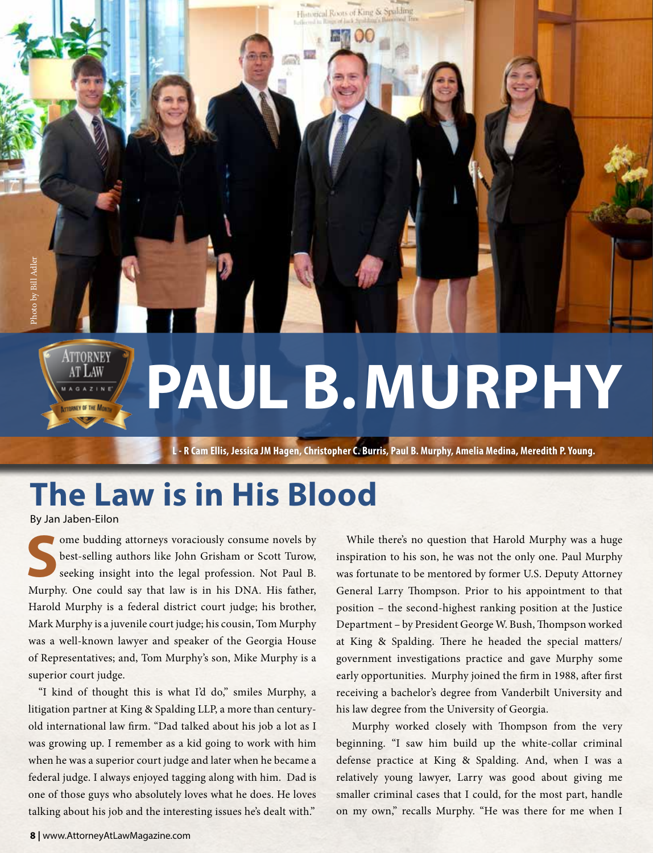## **PAUL B. MURPHY**

Historical Roots of King & Spalding

**MMOO** 

**L - R Cam Ellis, Jessica JM Hagen, Christopher C. Burris, Paul B. Murphy, Amelia Medina, Meredith P. Young.**

## **The Law is in His Blood**

By Jan Jaben-Eilon

ATTORNEY

Some budding attorneys voraciously consume novels by<br>best-selling authors like John Grisham or Scott Turow,<br>seeking insight into the legal profession. Not Paul B. best-selling authors like John Grisham or Scott Turow, seeking insight into the legal profession. Not Paul B. Murphy. One could say that law is in his DNA. His father, Harold Murphy is a federal district court judge; his brother, Mark Murphy is a juvenile court judge; his cousin, Tom Murphy was a well-known lawyer and speaker of the Georgia House of Representatives; and, Tom Murphy's son, Mike Murphy is a superior court judge.

"I kind of thought this is what I'd do," smiles Murphy, a litigation partner at King & Spalding LLP, a more than centuryold international law firm. "Dad talked about his job a lot as I was growing up. I remember as a kid going to work with him when he was a superior court judge and later when he became a federal judge. I always enjoyed tagging along with him. Dad is one of those guys who absolutely loves what he does. He loves talking about his job and the interesting issues he's dealt with."

While there's no question that Harold Murphy was a huge inspiration to his son, he was not the only one. Paul Murphy was fortunate to be mentored by former U.S. Deputy Attorney General Larry Thompson. Prior to his appointment to that position – the second-highest ranking position at the Justice Department – by President George W. Bush, Thompson worked at King & Spalding. There he headed the special matters/ government investigations practice and gave Murphy some early opportunities. Murphy joined the firm in 1988, after first receiving a bachelor's degree from Vanderbilt University and his law degree from the University of Georgia.

 Murphy worked closely with Thompson from the very beginning. "I saw him build up the white-collar criminal defense practice at King & Spalding. And, when I was a relatively young lawyer, Larry was good about giving me smaller criminal cases that I could, for the most part, handle on my own," recalls Murphy. "He was there for me when I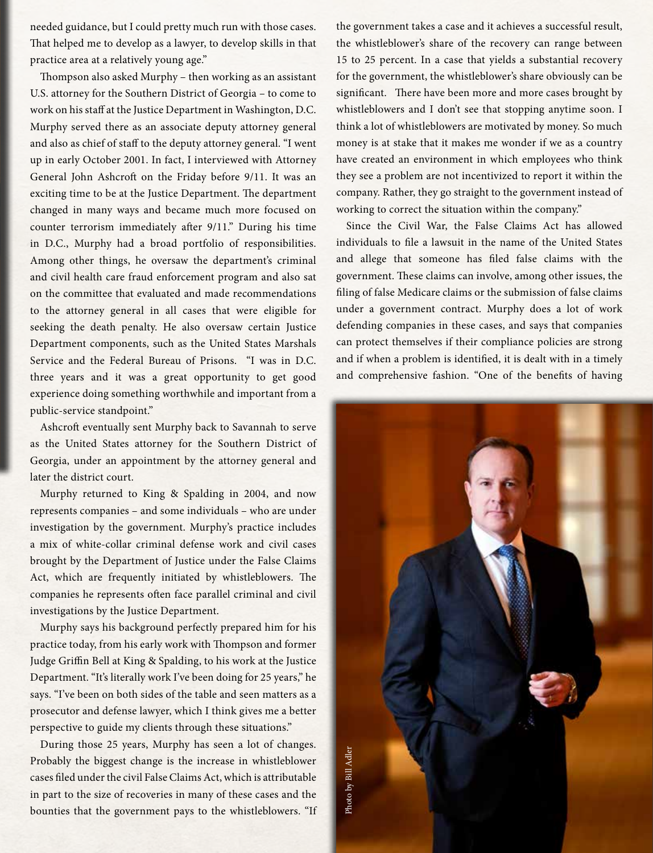needed guidance, but I could pretty much run with those cases. That helped me to develop as a lawyer, to develop skills in that practice area at a relatively young age."

Thompson also asked Murphy – then working as an assistant U.S. attorney for the Southern District of Georgia – to come to work on his staff at the Justice Department in Washington, D.C. Murphy served there as an associate deputy attorney general and also as chief of staff to the deputy attorney general. "I went up in early October 2001. In fact, I interviewed with Attorney General John Ashcroft on the Friday before 9/11. It was an exciting time to be at the Justice Department. The department changed in many ways and became much more focused on counter terrorism immediately after 9/11." During his time in D.C., Murphy had a broad portfolio of responsibilities. Among other things, he oversaw the department's criminal and civil health care fraud enforcement program and also sat on the committee that evaluated and made recommendations to the attorney general in all cases that were eligible for seeking the death penalty. He also oversaw certain Justice Department components, such as the United States Marshals Service and the Federal Bureau of Prisons. "I was in D.C. three years and it was a great opportunity to get good experience doing something worthwhile and important from a public-service standpoint."

Ashcroft eventually sent Murphy back to Savannah to serve as the United States attorney for the Southern District of Georgia, under an appointment by the attorney general and later the district court.

Murphy returned to King & Spalding in 2004, and now represents companies – and some individuals – who are under investigation by the government. Murphy's practice includes a mix of white-collar criminal defense work and civil cases brought by the Department of Justice under the False Claims Act, which are frequently initiated by whistleblowers. The companies he represents often face parallel criminal and civil investigations by the Justice Department.

Murphy says his background perfectly prepared him for his practice today, from his early work with Thompson and former Judge Griffin Bell at King & Spalding, to his work at the Justice Department. "It's literally work I've been doing for 25 years," he says. "I've been on both sides of the table and seen matters as a prosecutor and defense lawyer, which I think gives me a better perspective to guide my clients through these situations."

During those 25 years, Murphy has seen a lot of changes. Probably the biggest change is the increase in whistleblower cases filed under the civil False Claims Act, which is attributable in part to the size of recoveries in many of these cases and the bounties that the government pays to the whistleblowers. "If the government takes a case and it achieves a successful result, the whistleblower's share of the recovery can range between 15 to 25 percent. In a case that yields a substantial recovery for the government, the whistleblower's share obviously can be significant. There have been more and more cases brought by whistleblowers and I don't see that stopping anytime soon. I think a lot of whistleblowers are motivated by money. So much money is at stake that it makes me wonder if we as a country have created an environment in which employees who think they see a problem are not incentivized to report it within the company. Rather, they go straight to the government instead of working to correct the situation within the company."

Since the Civil War, the False Claims Act has allowed individuals to file a lawsuit in the name of the United States and allege that someone has filed false claims with the government. These claims can involve, among other issues, the filing of false Medicare claims or the submission of false claims under a government contract. Murphy does a lot of work defending companies in these cases, and says that companies can protect themselves if their compliance policies are strong and if when a problem is identified, it is dealt with in a timely and comprehensive fashion. "One of the benefits of having